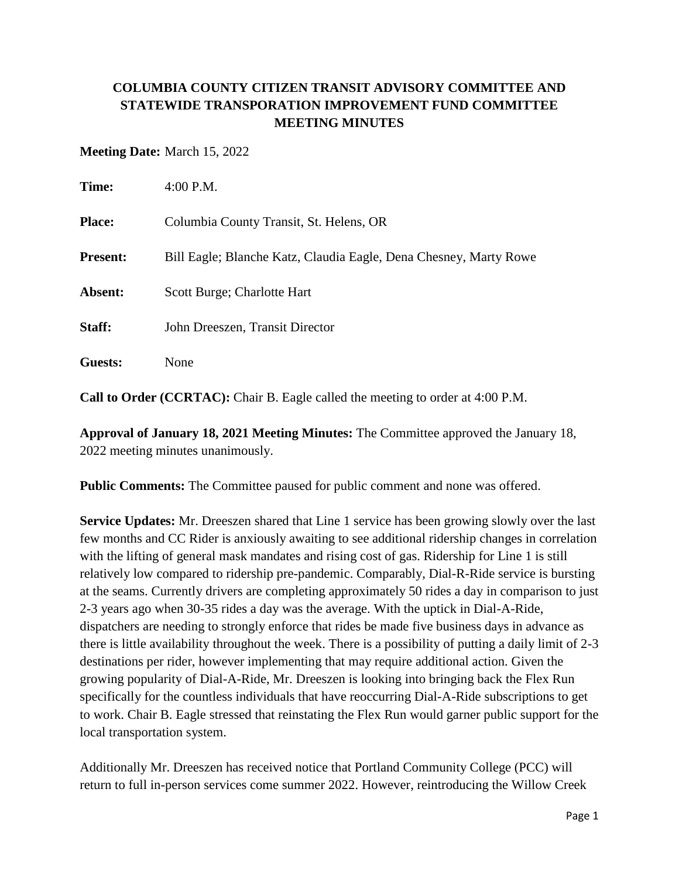## **COLUMBIA COUNTY CITIZEN TRANSIT ADVISORY COMMITTEE AND STATEWIDE TRANSPORATION IMPROVEMENT FUND COMMITTEE MEETING MINUTES**

## **Meeting Date:** March 15, 2022

| Time:           | $4:00$ P.M.                                                       |
|-----------------|-------------------------------------------------------------------|
| <b>Place:</b>   | Columbia County Transit, St. Helens, OR                           |
| <b>Present:</b> | Bill Eagle; Blanche Katz, Claudia Eagle, Dena Chesney, Marty Rowe |
| Absent:         | Scott Burge; Charlotte Hart                                       |
| Staff:          | John Dreeszen, Transit Director                                   |
| Guests:         | None                                                              |

**Call to Order (CCRTAC):** Chair B. Eagle called the meeting to order at 4:00 P.M.

**Approval of January 18, 2021 Meeting Minutes:** The Committee approved the January 18, 2022 meeting minutes unanimously.

**Public Comments:** The Committee paused for public comment and none was offered.

**Service Updates:** Mr. Dreeszen shared that Line 1 service has been growing slowly over the last few months and CC Rider is anxiously awaiting to see additional ridership changes in correlation with the lifting of general mask mandates and rising cost of gas. Ridership for Line 1 is still relatively low compared to ridership pre-pandemic. Comparably, Dial-R-Ride service is bursting at the seams. Currently drivers are completing approximately 50 rides a day in comparison to just 2-3 years ago when 30-35 rides a day was the average. With the uptick in Dial-A-Ride, dispatchers are needing to strongly enforce that rides be made five business days in advance as there is little availability throughout the week. There is a possibility of putting a daily limit of 2-3 destinations per rider, however implementing that may require additional action. Given the growing popularity of Dial-A-Ride, Mr. Dreeszen is looking into bringing back the Flex Run specifically for the countless individuals that have reoccurring Dial-A-Ride subscriptions to get to work. Chair B. Eagle stressed that reinstating the Flex Run would garner public support for the local transportation system.

Additionally Mr. Dreeszen has received notice that Portland Community College (PCC) will return to full in-person services come summer 2022. However, reintroducing the Willow Creek